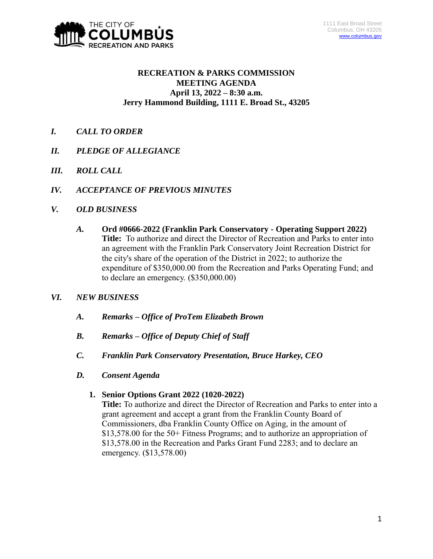

# **RECREATION & PARKS COMMISSION MEETING AGENDA April 13, 2022 – 8:30 a.m. Jerry Hammond Building, 1111 E. Broad St., 43205**

- *I. CALL TO ORDER*
- *II. PLEDGE OF ALLEGIANCE*
- *III. ROLL CALL*
- *IV. ACCEPTANCE OF PREVIOUS MINUTES*
- *V. OLD BUSINESS*
	- *A.* **Ord #0666-2022 (Franklin Park Conservatory - Operating Support 2022) Title:** To authorize and direct the Director of Recreation and Parks to enter into an agreement with the Franklin Park Conservatory Joint Recreation District for the city's share of the operation of the District in 2022; to authorize the expenditure of \$350,000.00 from the Recreation and Parks Operating Fund; and to declare an emergency. (\$350,000.00)
- *VI. NEW BUSINESS*
	- *A. Remarks – Office of ProTem Elizabeth Brown*
	- *B. Remarks – Office of Deputy Chief of Staff*
	- *C. Franklin Park Conservatory Presentation, Bruce Harkey, CEO*
	- *D. Consent Agenda*
		- **1. Senior Options Grant 2022 (1020-2022)**

**Title:** To authorize and direct the Director of Recreation and Parks to enter into a grant agreement and accept a grant from the Franklin County Board of Commissioners, dba Franklin County Office on Aging, in the amount of \$13,578.00 for the 50+ Fitness Programs; and to authorize an appropriation of \$13,578.00 in the Recreation and Parks Grant Fund 2283; and to declare an emergency. (\$13,578.00)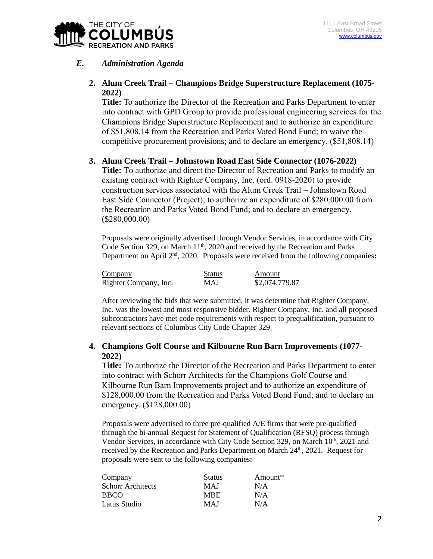

# *E. Administration Agenda*

# **2. Alum Creek Trail – Champions Bridge Superstructure Replacement (1075- 2022)**

**Title:** To authorize the Director of the Recreation and Parks Department to enter into contract with GPD Group to provide professional engineering services for the Champions Bridge Superstructure Replacement and to authorize an expenditure of \$51,808.14 from the Recreation and Parks Voted Bond Fund; to waive the competitive procurement provisions; and to declare an emergency. (\$51,808.14)

#### **3. Alum Creek Trail – Johnstown Road East Side Connector (1076-2022)**

**Title:** To authorize and direct the Director of Recreation and Parks to modify an existing contract with Righter Company, Inc. (ord. 0918-2020) to provide construction services associated with the Alum Creek Trail – Johnstown Road East Side Connector (Project); to authorize an expenditure of \$280,000.00 from the Recreation and Parks Voted Bond Fund; and to declare an emergency. (\$280,000.00)

Proposals were originally advertised through Vendor Services, in accordance with City Code Section 329, on March 11<sup>th</sup>, 2020 and received by the Recreation and Parks Department on April 2<sup>nd</sup>, 2020. Proposals were received from the following companies:

| Company               | <b>Status</b> | Amount         |
|-----------------------|---------------|----------------|
| Righter Company, Inc. | MAJ           | \$2,074,779.87 |

After reviewing the bids that were submitted, it was determine that Righter Company, Inc. was the lowest and most responsive bidder. Righter Company, Inc. and all proposed subcontractors have met code requirements with respect to prequalification, pursuant to relevant sections of Columbus City Code Chapter 329.

#### **4. Champions Golf Course and Kilbourne Run Barn Improvements (1077- 2022)**

**Title:** To authorize the Director of the Recreation and Parks Department to enter into contract with Schorr Architects for the Champions Golf Course and Kilbourne Run Barn Improvements project and to authorize an expenditure of \$128,000.00 from the Recreation and Parks Voted Bond Fund; and to declare an emergency. (\$128,000.00)

Proposals were advertised to three pre-qualified A/E firms that were pre-qualified through the bi-annual Request for Statement of Qualification (RFSQ) process through Vendor Services, in accordance with City Code Section 329, on March 10<sup>th</sup>, 2021 and received by the Recreation and Parks Department on March 24<sup>th</sup>, 2021. Request for proposals were sent to the following companies:

| Company                  | <b>Status</b> | Amount $*$ |
|--------------------------|---------------|------------|
| <b>Schorr Architects</b> | <b>MAI</b>    | N/A        |
| <b>BBCO</b>              | <b>MBE</b>    | N/A        |
| Latus Studio             | <b>MAI</b>    | N/A        |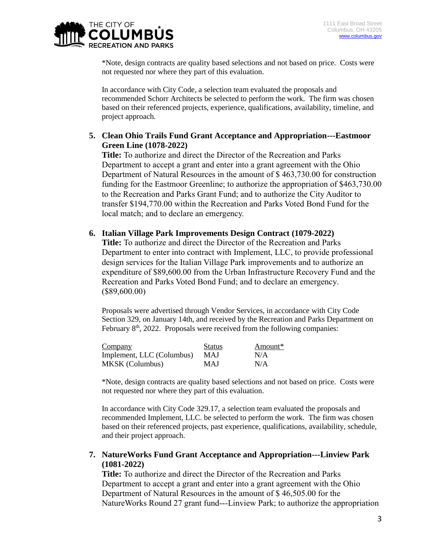

\*Note, design contracts are quality based selections and not based on price. Costs were not requested nor where they part of this evaluation.

In accordance with City Code, a selection team evaluated the proposals and recommended Schorr Architects be selected to perform the work. The firm was chosen based on their referenced projects, experience, qualifications, availability, timeline, and project approach.

## **5. Clean Ohio Trails Fund Grant Acceptance and Appropriation---Eastmoor Green Line (1078-2022)**

**Title:** To authorize and direct the Director of the Recreation and Parks Department to accept a grant and enter into a grant agreement with the Ohio Department of Natural Resources in the amount of \$ 463,730.00 for construction funding for the Eastmoor Greenline; to authorize the appropriation of \$463,730.00 to the Recreation and Parks Grant Fund; and to authorize the City Auditor to transfer \$194,770.00 within the Recreation and Parks Voted Bond Fund for the local match; and to declare an emergency.

#### **6. Italian Village Park Improvements Design Contract (1079-2022)**

**Title:** To authorize and direct the Director of the Recreation and Parks Department to enter into contract with Implement, LLC, to provide professional design services for the Italian Village Park improvements and to authorize an expenditure of \$89,600.00 from the Urban Infrastructure Recovery Fund and the Recreation and Parks Voted Bond Fund; and to declare an emergency. (\$89,600.00)

Proposals were advertised through Vendor Services, in accordance with City Code Section 329, on January 14th, and received by the Recreation and Parks Department on February 8<sup>th</sup>, 2022. Proposals were received from the following companies:

| Company                   | <b>Status</b> | Amount* |
|---------------------------|---------------|---------|
| Implement, LLC (Columbus) | <b>MAJ</b>    | N/A     |
| <b>MKSK</b> (Columbus)    | MAJ           | N/A     |

\*Note, design contracts are quality based selections and not based on price. Costs were not requested nor where they part of this evaluation.

In accordance with City Code 329.17, a selection team evaluated the proposals and recommended Implement, LLC. be selected to perform the work. The firm was chosen based on their referenced projects, past experience, qualifications, availability, schedule, and their project approach.

## **7. NatureWorks Fund Grant Acceptance and Appropriation---Linview Park (1081-2022)**

**Title:** To authorize and direct the Director of the Recreation and Parks Department to accept a grant and enter into a grant agreement with the Ohio Department of Natural Resources in the amount of \$ 46,505.00 for the NatureWorks Round 27 grant fund---Linview Park; to authorize the appropriation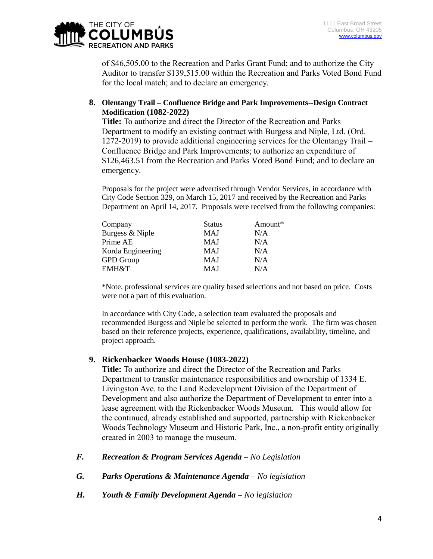

of \$46,505.00 to the Recreation and Parks Grant Fund; and to authorize the City Auditor to transfer \$139,515.00 within the Recreation and Parks Voted Bond Fund for the local match; and to declare an emergency.

**8. Olentangy Trail – Confluence Bridge and Park Improvements--Design Contract Modification (1082-2022)**

**Title:** To authorize and direct the Director of the Recreation and Parks Department to modify an existing contract with Burgess and Niple, Ltd. (Ord. 1272-2019) to provide additional engineering services for the Olentangy Trail – Confluence Bridge and Park Improvements; to authorize an expenditure of \$126,463.51 from the Recreation and Parks Voted Bond Fund; and to declare an emergency.

Proposals for the project were advertised through Vendor Services, in accordance with City Code Section 329, on March 15, 2017 and received by the Recreation and Parks Department on April 14, 2017. Proposals were received from the following companies:

| Company           | <b>Status</b> | Amount* |  |
|-------------------|---------------|---------|--|
| Burgess & Niple   | MAJ           | N/A     |  |
| Prime AE          | <b>MAJ</b>    | N/A     |  |
| Korda Engineering | MAJ           | N/A     |  |
| <b>GPD</b> Group  | MAJ           | N/A     |  |
| <b>EMH&amp;T</b>  | MAJ           | N/A     |  |

\*Note, professional services are quality based selections and not based on price. Costs were not a part of this evaluation.

In accordance with City Code, a selection team evaluated the proposals and recommended Burgess and Niple be selected to perform the work. The firm was chosen based on their reference projects, experience, qualifications, availability, timeline, and project approach.

#### **9. Rickenbacker Woods House (1083-2022)**

**Title:** To authorize and direct the Director of the Recreation and Parks Department to transfer maintenance responsibilities and ownership of 1334 E. Livingston Ave. to the Land Redevelopment Division of the Department of Development and also authorize the Department of Development to enter into a lease agreement with the Rickenbacker Woods Museum. This would allow for the continued, already established and supported, partnership with Rickenbacker Woods Technology Museum and Historic Park, Inc., a non-profit entity originally created in 2003 to manage the museum.

- *F. Recreation & Program Services Agenda – No Legislation*
- *G. Parks Operations & Maintenance Agenda – No legislation*
- *H. Youth & Family Development Agenda – No legislation*